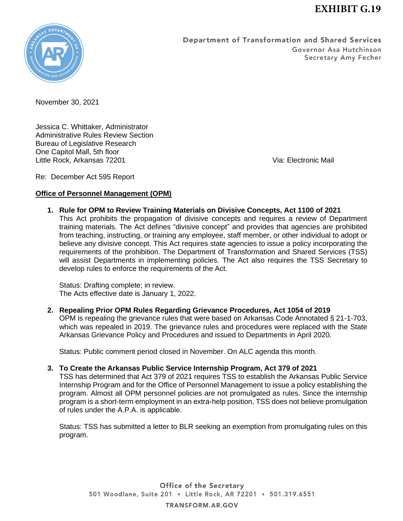

Department of Transformation and Shared Services Governor Asa Hutchinson Secretary Amy Fecher

November 30, 2021

Jessica C. Whittaker, Administrator Administrative Rules Review Section Bureau of Legislative Research One Capitol Mall, 5th floor Little Rock, Arkansas 72201 Via: Electronic Mail

Re: December Act 595 Report

# **Office of Personnel Management (OPM)**

**1. Rule for OPM to Review Training Materials on Divisive Concepts, Act 1100 of 2021** This Act prohibits the propagation of divisive concepts and requires a review of Department training materials. The Act defines "divisive concept" and provides that agencies are prohibited from teaching, instructing, or training any employee, staff member, or other individual to adopt or believe any divisive concept. This Act requires state agencies to issue a policy incorporating the requirements of the prohibition. The Department of Transformation and Shared Services (TSS) will assist Departments in implementing policies. The Act also requires the TSS Secretary to develop rules to enforce the requirements of the Act.

Status: Drafting complete; in review. The Acts effective date is January 1, 2022.

**2. Repealing Prior OPM Rules Regarding Grievance Procedures, Act 1054 of 2019** OPM is repealing the grievance rules that were based on Arkansas Code Annotated § 21-1-703, which was repealed in 2019. The grievance rules and procedures were replaced with the State Arkansas Grievance Policy and Procedures and issued to Departments in April 2020.

Status: Public comment period closed in November. On ALC agenda this month.

**3. To Create the Arkansas Public Service Internship Program, Act 379 of 2021**

TSS has determined that Act 379 of 2021 requires TSS to establish the Arkansas Public Service Internship Program and for the Office of Personnel Management to issue a policy establishing the program. Almost all OPM personnel policies are not promulgated as rules. Since the internship program is a short-term employment in an extra-help position, TSS does not believe promulgation of rules under the A.P.A. is applicable.

Status: TSS has submitted a letter to BLR seeking an exemption from promulgating rules on this program.